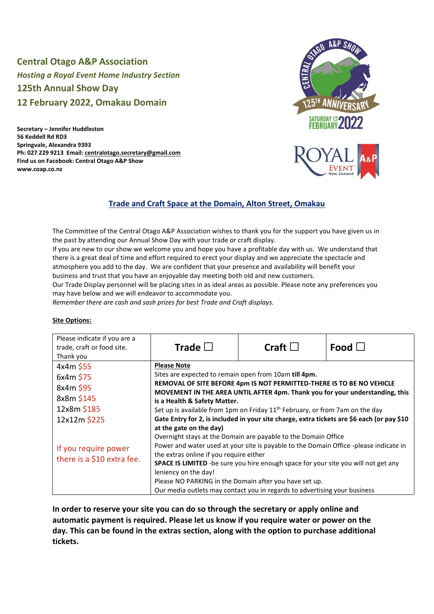# **Central Otago A&P Association**  *Hosting a Royal Event Home Industry Section* **125th Annual Show Day 12 February 2022, Omakau Domain**

**Secretary – Jennifer Huddleston 56 Keddell Rd RD3 Springvale, Alexandra 9393 Ph: 027 229 9213 Email: centralotago.secretary@gmail.com Find us on Facebook: Central Otago A&P Show www.coap.co.nz**





# **Trade and Craft Space at the Domain, Alton Street, Omakau**

The Committee of the Central Otago A&P Association wishes to thank you for the support you have given us in the past by attending our Annual Show Day with your trade or craft display.

If you are new to our show we welcome you and hope you have a profitable day with us. We understand that there is a great deal of time and effort required to erect your display and we appreciate the spectacle and atmosphere you add to the day. We are confident that your presence and availability will benefit your business and trust that you have an enjoyable day meeting both old and new customers.

Our Trade Display personnel will be placing sites in as ideal areas as possible. Please note any preferences you may have below and we will endeavor to accommodate you.

*Remember there are cash and sash prizes for best Trade and Craft displays.*

#### **Site Options:**

| Please indicate if you are a<br>trade, craft or food site.<br>Thank you | Trade $\square$                                                                                                                                                                                                                                                      | Craft $\square$                                                                                                                                                                                                                                                                          | Food $\Box$ |
|-------------------------------------------------------------------------|----------------------------------------------------------------------------------------------------------------------------------------------------------------------------------------------------------------------------------------------------------------------|------------------------------------------------------------------------------------------------------------------------------------------------------------------------------------------------------------------------------------------------------------------------------------------|-------------|
| 4x4m \$55<br>6x4m \$75<br>8x4m \$95<br>8x8m \$145                       | <b>Please Note</b><br>Sites are expected to remain open from 10am till 4pm.<br>REMOVAL OF SITE BEFORE 4pm IS NOT PERMITTED-THERE IS TO BE NO VEHICLE<br>MOVEMENT IN THE AREA UNTIL AFTER 4pm. Thank you for your understanding, this<br>is a Health & Safety Matter. |                                                                                                                                                                                                                                                                                          |             |
| 12x8m \$185<br>12x12m \$225                                             | Set up is available from 1pm on Friday 11 <sup>th</sup> February, or from 7am on the day<br>Gate Entry for 2, is included in your site charge, extra tickets are \$6 each (or pay \$10<br>at the gate on the day)                                                    |                                                                                                                                                                                                                                                                                          |             |
| If you require power<br>there is a \$10 extra fee.                      | leniency on the day!                                                                                                                                                                                                                                                 | Overnight stays at the Domain are payable to the Domain Office<br>Power and water used at your site is payable to the Domain Office -please indicate in<br>the extras online if you require either<br>SPACE IS LIMITED -be sure you hire enough space for your site you will not get any |             |
|                                                                         | Please NO PARKING in the Domain after you have set up.<br>Our media outlets may contact you in regards to advertising your business                                                                                                                                  |                                                                                                                                                                                                                                                                                          |             |

**In order to reserve your site you can do so through the secretary or apply online and automatic payment is required. Please let us know if you require water or power on the day. This can be found in the extras section, along with the option to purchase additional tickets.**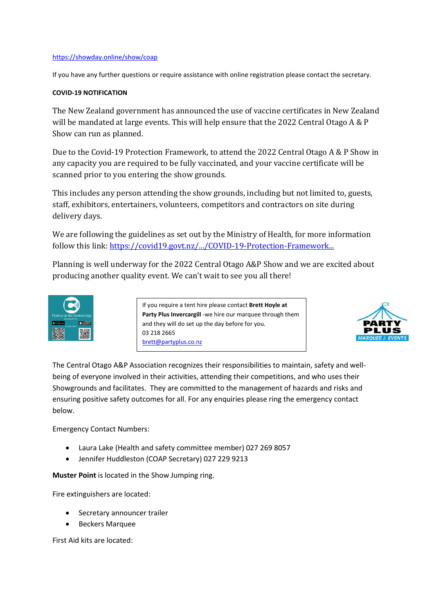### <https://showday.online/show/coap>

If you have any further questions or require assistance with online registration please contact the secretary.

## **COVID-19 NOTIFICATION**

The New Zealand government has announced the use of vaccine certificates in New Zealand will be mandated at large events. This will help ensure that the 2022 Central Otago A & P Show can run as planned.

Due to the Covid-19 Protection Framework, to attend the 2022 Central Otago A & P Show in any capacity you are required to be fully vaccinated, and your vaccine certificate will be scanned prior to you entering the show grounds.

This includes any person attending the show grounds, including but not limited to, guests, staff, exhibitors, entertainers, volunteers, competitors and contractors on site during delivery days.

We are following the guidelines as set out by the Ministry of Health, for more information follow this link[: https://covid19.govt.nz/.../COVID-19-Protection-Framework...](https://covid19.govt.nz/assets/COVID-19-Protection-Framework/COVID-19-Protection-Framework-22-October-2021.pdf?fbclid=IwAR22kd16hc_OGuEtY73I20T6pbxcAC_z337Sxc-02jrzwci6qCyNPmxoxjM)

Planning is well underway for the 2022 Central Otago A&P Show and we are excited about producing another quality event. We can't wait to see you all there!



If you require a tent hire please contact **Brett Hoyle at Party Plus Invercargill** -we hire our marquee through them and they will do set up the day before for you. 03 218 2665 [brett@partyplus.co.nz](mailto:brett@partyplus.co.nz)



The Central Otago A&P Association recognizes their responsibilities to maintain, safety and wellbeing of everyone involved in their activities, attending their competitions, and who uses their Showgrounds and facilitates. They are committed to the management of hazards and risks and ensuring positive safety outcomes for all. For any enquiries please ring the emergency contact below.

Emergency Contact Numbers:

- Laura Lake (Health and safety committee member) 027 269 8057
- Jennifer Huddleston (COAP Secretary) 027 229 9213

**Muster Point** is located in the Show Jumping ring.

Fire extinguishers are located:

- Secretary announcer trailer
- Beckers Marquee

First Aid kits are located: